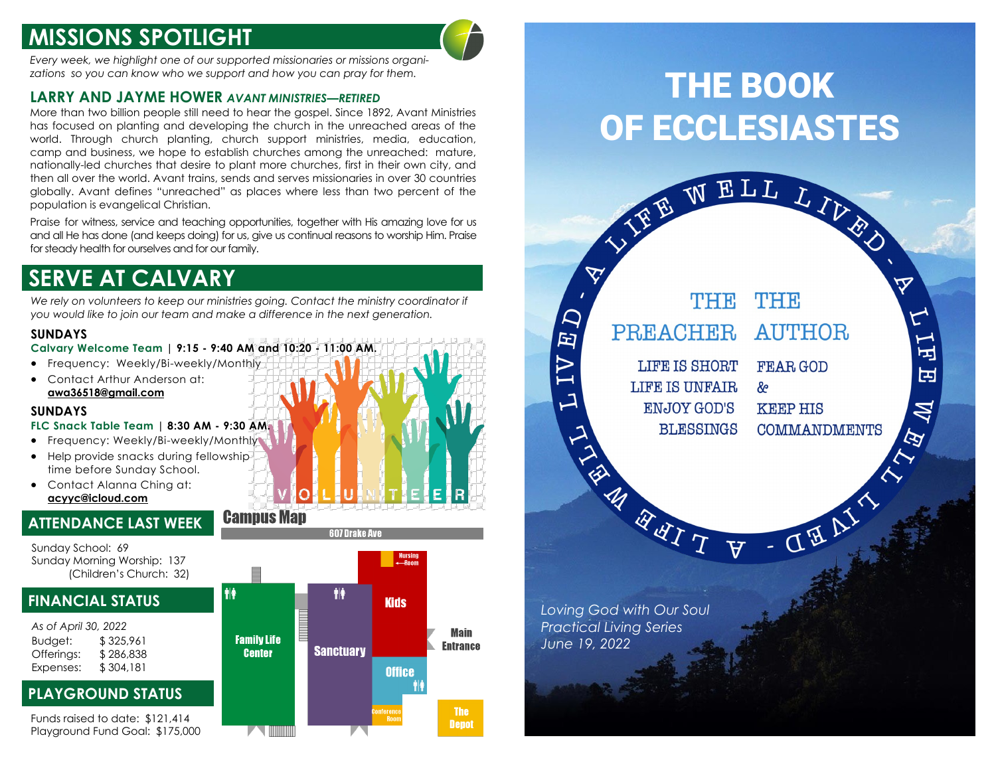# **MISSIONS SPOTLIGHT**

*Every week, we highlight one of our supported missionaries or missions organizations so you can know who we support and how you can pray for them.*

### **LARRY AND JAYME HOWER** *AVANT MINISTRIES—RETIRED*

More than two billion people still need to hear the gospel. Since 1892, Avant Ministries has focused on planting and developing the church in the unreached areas of the world. Through church planting, church support ministries, media, education, camp and business, we hope to establish churches among the unreached: mature, nationally-led churches that desire to plant more churches, first in their own city, and then all over the world. Avant trains, sends and serves missionaries in over 30 countries globally. Avant defines "unreached" as places where less than two percent of the population is evangelical Christian.

Praise for witness, service and teaching opportunities, together with His amazing love for us and all He has done (and keeps doing) for us, give us continual reasons to worship Him. Praise for steady health for ourselves and for our family.

# **SERVE AT CALVARY**

We rely on volunteers to keep our ministries going. Contact the ministry coordinator if *you would like to join our team and make a difference in the next generation.* 

级

### **SUNDAYS**

**Calvary Welcome Team | 9:15 - 9:40 AM and 10:20 - 11:00 AM.**

- Frequency: Weekly/Bi-weekly/Monthly
- Contact Arthur Anderson at: **awa36518@gmail.com**

### **SUNDAYS**

#### **FLC Snack Table Team | 8:30 AM - 9:30 AM.**

- Frequency: Weekly/Bi-weekly/Monthly • Help provide snacks during fellowship time before Sunday School.
- Contact Alanna Ching at: **acyyc@icloud.com**

## **ATTENDANCE LAST WEEK**

Sunday School: 69 Sunday Morning Worship: 137 (Children's Church: 32)

## **FINANCIAL STATUS**



## **PLAYGROUND STATUS**

Funds raised to date: \$121,414 Playground Fund Goal: \$175,000





# THE BOOK OF ECCLESIASTES

VIEE WELL LIVES

 $\boldsymbol{\nabla}$ 

口

 $\overline{\mathbf{E}}$ 

 $\overline{A}$ 



*Loving God with Our Soul Practical Living Series June 19, 2022*